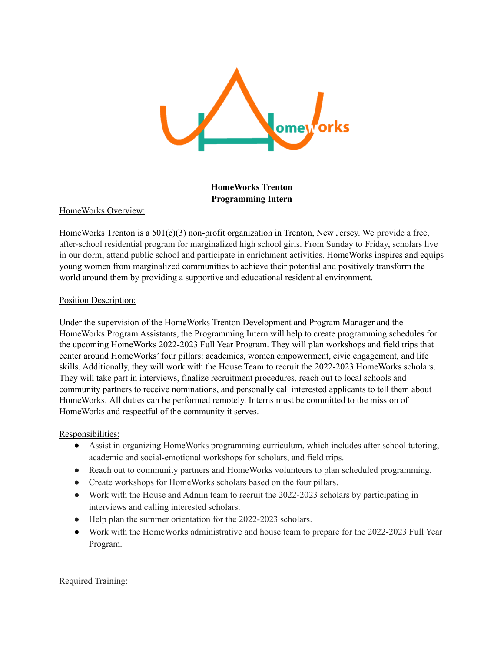

**HomeWorks Trenton Programming Intern**

# HomeWorks Overview:

HomeWorks Trenton is a  $501(c)(3)$  non-profit organization in Trenton, New Jersey. We provide a free, after-school residential program for marginalized high school girls. From Sunday to Friday, scholars live in our dorm, attend public school and participate in enrichment activities. HomeWorks inspires and equips young women from marginalized communities to achieve their potential and positively transform the world around them by providing a supportive and educational residential environment.

# Position Description:

Under the supervision of the HomeWorks Trenton Development and Program Manager and the HomeWorks Program Assistants, the Programming Intern will help to create programming schedules for the upcoming HomeWorks 2022-2023 Full Year Program. They will plan workshops and field trips that center around HomeWorks' four pillars: academics, women empowerment, civic engagement, and life skills. Additionally, they will work with the House Team to recruit the 2022-2023 HomeWorks scholars. They will take part in interviews, finalize recruitment procedures, reach out to local schools and community partners to receive nominations, and personally call interested applicants to tell them about HomeWorks. All duties can be performed remotely. Interns must be committed to the mission of HomeWorks and respectful of the community it serves.

# Responsibilities:

- Assist in organizing HomeWorks programming curriculum, which includes after school tutoring, academic and social-emotional workshops for scholars, and field trips.
- Reach out to community partners and HomeWorks volunteers to plan scheduled programming.
- Create workshops for HomeWorks scholars based on the four pillars.
- Work with the House and Admin team to recruit the 2022-2023 scholars by participating in interviews and calling interested scholars.
- Help plan the summer orientation for the 2022-2023 scholars.
- Work with the HomeWorks administrative and house team to prepare for the 2022-2023 Full Year Program.

# Required Training: